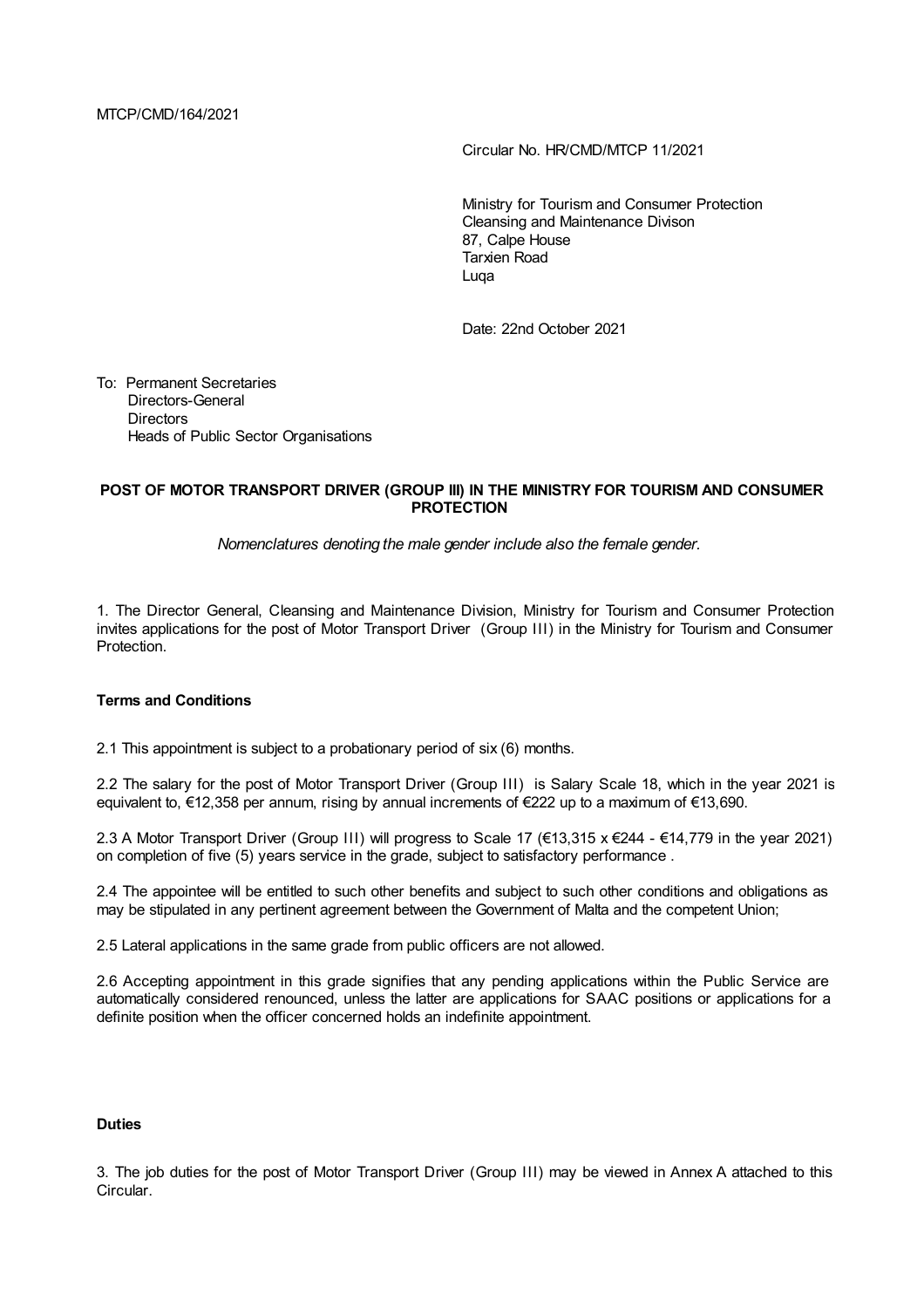MTCP/CMD/164/2021

Circular No. HR/CMD/MTCP 11/2021

Ministry for Tourism and Consumer Protection Cleansing and Maintenance Divison 87, Calpe House Tarxien Road Luqa

Date: 22nd October 2021

To: Permanent Secretaries Directors-General **Directors** Heads of Public Sector Organisations

# **POST OF MOTOR TRANSPORT DRIVER (GROUP III) IN THE MINISTRY FOR TOURISM AND CONSUMER PROTECTION**

*Nomenclatures denoting the male gender include also the female gender.*

1. The Director General, Cleansing and Maintenance Division, Ministry for Tourism and Consumer Protection invites applications for the post of Motor Transport Driver (Group III) in the Ministry for Tourism and Consumer Protection.

# **Terms and Conditions**

2.1 This appointment is subject to a probationary period of six (6) months.

2.2 The salary for the post of Motor Transport Driver (Group III) is Salary Scale 18, which in the year 2021 is equivalent to, €12,358 per annum, rising by annual increments of €222 up to a maximum of €13,690.

2.3 A Motor Transport Driver (Group III) will progress to Scale 17 (€13,315 x €244 - €14,779 in the year 2021) on completion of five (5) years service in the grade, subject to satisfactory performance .

2.4 The appointee will be entitled to such other benefits and subject to such other conditions and obligations as may be stipulated in any pertinent agreement between the Government of Malta and the competent Union;

2.5 Lateral applications in the same grade from public officers are not allowed.

2.6 Accepting appointment in this grade signifies that any pending applications within the Public Service are automatically considered renounced, unless the latter are applications for SAAC positions or applications for a definite position when the officer concerned holds an indefinite appointment.

#### **Duties**

3. The job duties for the post of Motor Transport Driver (Group III) may be viewed in Annex A attached to this Circular.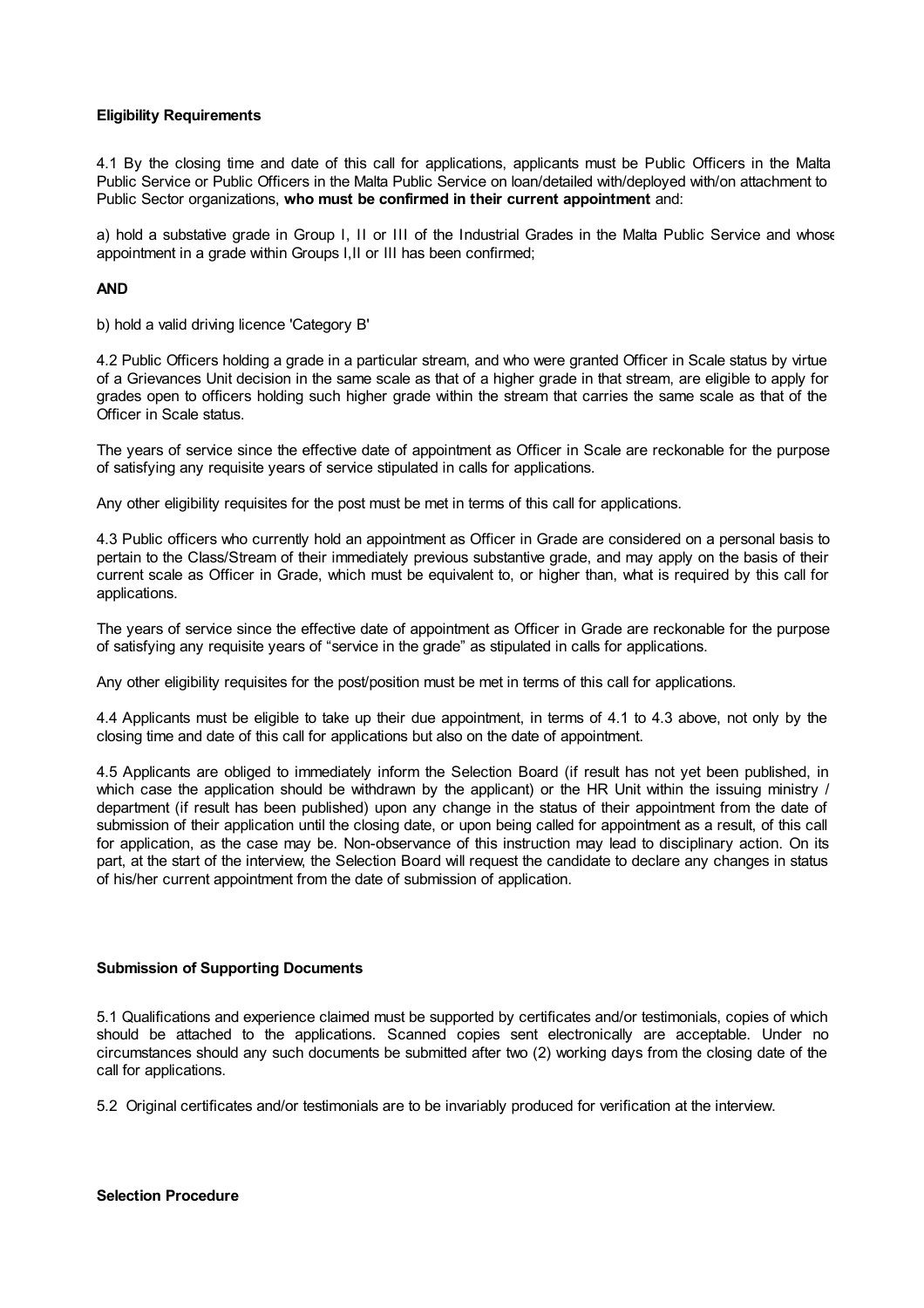## **Eligibility Requirements**

4.1 By the closing time and date of this call for applications, applicants must be Public Officers in the Malta Public Service or Public Officers in the Malta Public Service on loan/detailed with/deployed with/on attachment to Public Sector organizations, **who must be confirmed in their current appointment** and:

a) hold a substative grade in Group I, II or III of the Industrial Grades in the Malta Public Service and whose appointment in a grade within Groups I,II or III has been confirmed;

## **AND**

b) hold a valid driving licence 'Category B'

4.2 Public Officers holding a grade in a particular stream, and who were granted Officer in Scale status by virtue of a Grievances Unit decision in the same scale as that of a higher grade in that stream, are eligible to apply for grades open to officers holding such higher grade within the stream that carries the same scale as that of the Officer in Scale status.

The years of service since the effective date of appointment as Officer in Scale are reckonable for the purpose of satisfying any requisite years of service stipulated in calls for applications.

Any other eligibility requisites for the post must be met in terms of this call for applications.

4.3 Public officers who currently hold an appointment as Officer in Grade are considered on a personal basis to pertain to the Class/Stream of their immediately previous substantive grade, and may apply on the basis of their current scale as Officer in Grade, which must be equivalent to, or higher than, what is required by this call for applications.

The years of service since the effective date of appointment as Officer in Grade are reckonable for the purpose of satisfying any requisite years of "service in the grade" as stipulated in calls for applications.

Any other eligibility requisites for the post/position must be met in terms of this call for applications.

4.4 Applicants must be eligible to take up their due appointment, in terms of 4.1 to 4.3 above, not only by the closing time and date of this call for applications but also on the date of appointment.

4.5 Applicants are obliged to immediately inform the Selection Board (if result has not yet been published, in which case the application should be withdrawn by the applicant) or the HR Unit within the issuing ministry / department (if result has been published) upon any change in the status of their appointment from the date of submission of their application until the closing date, or upon being called for appointment as a result, of this call for application, as the case may be. Non-observance of this instruction may lead to disciplinary action. On its part, at the start of the interview, the Selection Board will request the candidate to declare any changes in status of his/her current appointment from the date of submission of application.

# **Submission of Supporting Documents**

5.1 Qualifications and experience claimed must be supported by certificates and/or testimonials, copies of which should be attached to the applications. Scanned copies sent electronically are acceptable. Under no circumstances should any such documents be submitted after two (2) working days from the closing date of the call for applications.

5.2 Original certificates and/or testimonials are to be invariably produced for verification at the interview.